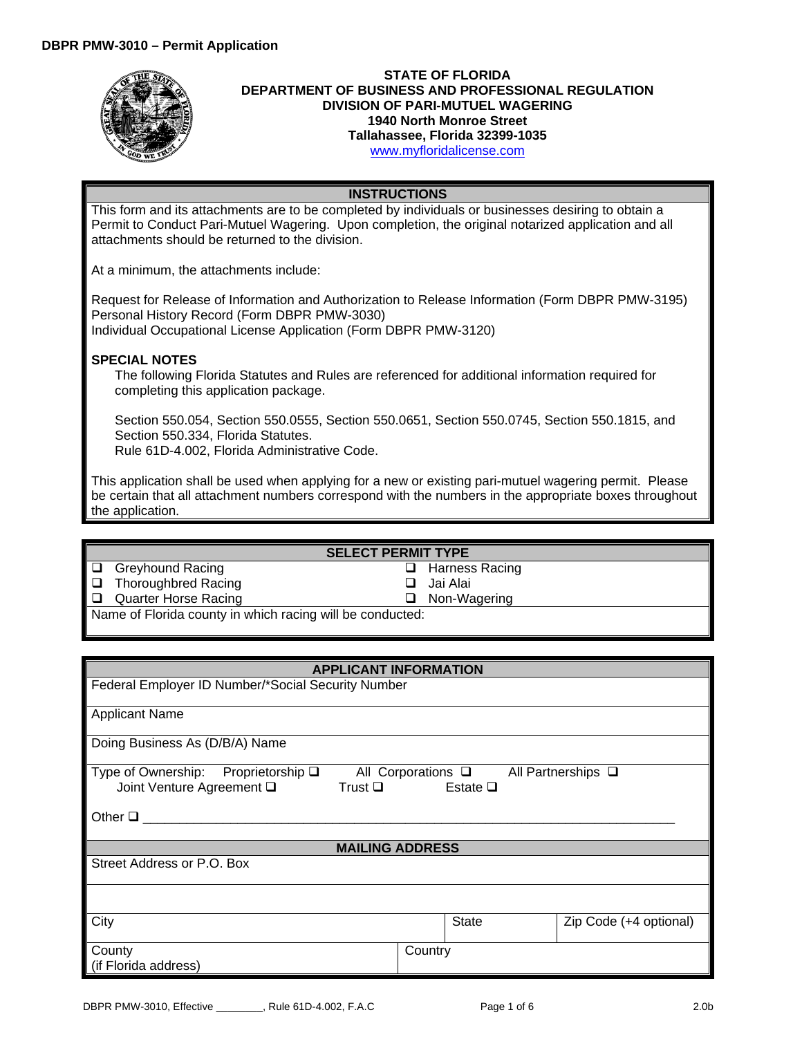

## **STATE OF FLORIDA DEPARTMENT OF BUSINESS AND PROFESSIONAL REGULATION DIVISION OF PARI-MUTUEL WAGERING 1940 North Monroe Street Tallahassee, Florida 32399-1035** [www.myfloridalicense.com](http://www.myfloridalicense.com/)

## **INSTRUCTIONS**

This form and its attachments are to be completed by individuals or businesses desiring to obtain a Permit to Conduct Pari-Mutuel Wagering. Upon completion, the original notarized application and all attachments should be returned to the division.

At a minimum, the attachments include:

Request for Release of Information and Authorization to Release Information (Form DBPR PMW-3195) Personal History Record (Form DBPR PMW-3030) Individual Occupational License Application (Form DBPR PMW-3120)

## **SPECIAL NOTES**

The following Florida Statutes and Rules are referenced for additional information required for completing this application package.

Section 550.054, Section 550.0555, Section 550.0651, Section 550.0745, Section 550.1815, and Section 550.334, Florida Statutes.

Rule 61D-4.002, Florida Administrative Code.

This application shall be used when applying for a new or existing pari-mutuel wagering permit. Please be certain that all attachment numbers correspond with the numbers in the appropriate boxes throughout the application.

## **SELECT PERMIT TYPE**

- Greyhound Racing
- □ Thoroughbred Racing
- Quarter Horse Racing

 Jai Alai □ Non-Wagering

□ Harness Racing

Name of Florida county in which racing will be conducted:

| <b>APPLICANT INFORMATION</b>                                             |                                  |                                                       |  |
|--------------------------------------------------------------------------|----------------------------------|-------------------------------------------------------|--|
| Federal Employer ID Number/*Social Security Number                       |                                  |                                                       |  |
| <b>Applicant Name</b>                                                    |                                  |                                                       |  |
| Doing Business As (D/B/A) Name                                           |                                  |                                                       |  |
| Type of Ownership: Proprietorship $\square$<br>Joint Venture Agreement Q | Trust $\square$ Estate $\square$ | All Corporations $\square$ All Partnerships $\square$ |  |
| Other $\Box$                                                             |                                  |                                                       |  |
| <b>MAILING ADDRESS</b>                                                   |                                  |                                                       |  |
| Street Address or P.O. Box                                               |                                  |                                                       |  |
|                                                                          |                                  |                                                       |  |
| City                                                                     | <b>State</b>                     | Zip Code (+4 optional)                                |  |
| County<br>(if Florida address)                                           | Country                          |                                                       |  |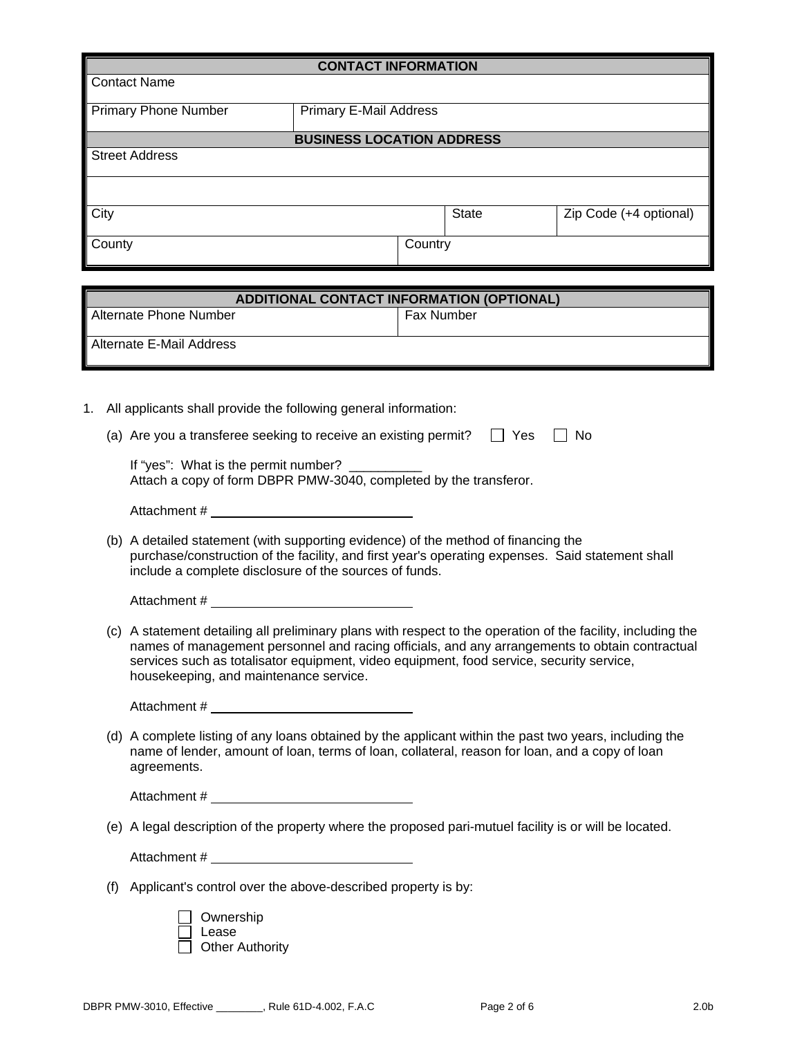|                                                                                                                                                                                                                                                                                                                                                      | <b>CONTACT INFORMATION</b>                                                                                                                                                                               |                        |
|------------------------------------------------------------------------------------------------------------------------------------------------------------------------------------------------------------------------------------------------------------------------------------------------------------------------------------------------------|----------------------------------------------------------------------------------------------------------------------------------------------------------------------------------------------------------|------------------------|
| <b>Contact Name</b>                                                                                                                                                                                                                                                                                                                                  |                                                                                                                                                                                                          |                        |
| <b>Primary Phone Number</b>                                                                                                                                                                                                                                                                                                                          | <b>Primary E-Mail Address</b>                                                                                                                                                                            |                        |
|                                                                                                                                                                                                                                                                                                                                                      | <b>BUSINESS LOCATION ADDRESS</b>                                                                                                                                                                         |                        |
| <b>Street Address</b>                                                                                                                                                                                                                                                                                                                                |                                                                                                                                                                                                          |                        |
|                                                                                                                                                                                                                                                                                                                                                      |                                                                                                                                                                                                          |                        |
| City                                                                                                                                                                                                                                                                                                                                                 | <b>State</b>                                                                                                                                                                                             | Zip Code (+4 optional) |
| County                                                                                                                                                                                                                                                                                                                                               | Country                                                                                                                                                                                                  |                        |
|                                                                                                                                                                                                                                                                                                                                                      |                                                                                                                                                                                                          |                        |
|                                                                                                                                                                                                                                                                                                                                                      | <b>ADDITIONAL CONTACT INFORMATION (OPTIONAL)</b>                                                                                                                                                         |                        |
| <b>Alternate Phone Number</b>                                                                                                                                                                                                                                                                                                                        | Fax Number                                                                                                                                                                                               |                        |
| <b>Alternate E-Mail Address</b>                                                                                                                                                                                                                                                                                                                      |                                                                                                                                                                                                          |                        |
|                                                                                                                                                                                                                                                                                                                                                      |                                                                                                                                                                                                          |                        |
| All applicants shall provide the following general information:<br>1.                                                                                                                                                                                                                                                                                |                                                                                                                                                                                                          |                        |
| (a) Are you a transferee seeking to receive an existing permit?                                                                                                                                                                                                                                                                                      | $\Box$ Yes                                                                                                                                                                                               | No                     |
| If "yes": What is the permit number?                                                                                                                                                                                                                                                                                                                 | Attach a copy of form DBPR PMW-3040, completed by the transferor.                                                                                                                                        |                        |
|                                                                                                                                                                                                                                                                                                                                                      |                                                                                                                                                                                                          |                        |
| include a complete disclosure of the sources of funds.                                                                                                                                                                                                                                                                                               | (b) A detailed statement (with supporting evidence) of the method of financing the<br>purchase/construction of the facility, and first year's operating expenses. Said statement shall                   |                        |
| Attachment #                                                                                                                                                                                                                                                                                                                                         |                                                                                                                                                                                                          |                        |
| (c) A statement detailing all preliminary plans with respect to the operation of the facility, including the<br>names of management personnel and racing officials, and any arrangements to obtain contractual<br>services such as totalisator equipment, video equipment, food service, security service,<br>housekeeping, and maintenance service. |                                                                                                                                                                                                          |                        |
|                                                                                                                                                                                                                                                                                                                                                      |                                                                                                                                                                                                          |                        |
| agreements.                                                                                                                                                                                                                                                                                                                                          | (d) A complete listing of any loans obtained by the applicant within the past two years, including the<br>name of lender, amount of loan, terms of loan, collateral, reason for loan, and a copy of loan |                        |
|                                                                                                                                                                                                                                                                                                                                                      |                                                                                                                                                                                                          |                        |
|                                                                                                                                                                                                                                                                                                                                                      |                                                                                                                                                                                                          |                        |

(e) A legal description of the property where the proposed pari-mutuel facility is or will be located.

Attachment #

(f) Applicant's control over the above-described property is by:

| $\Box$ Ownership       |
|------------------------|
| $\Box$ Lease           |
| $\Box$ Other Authority |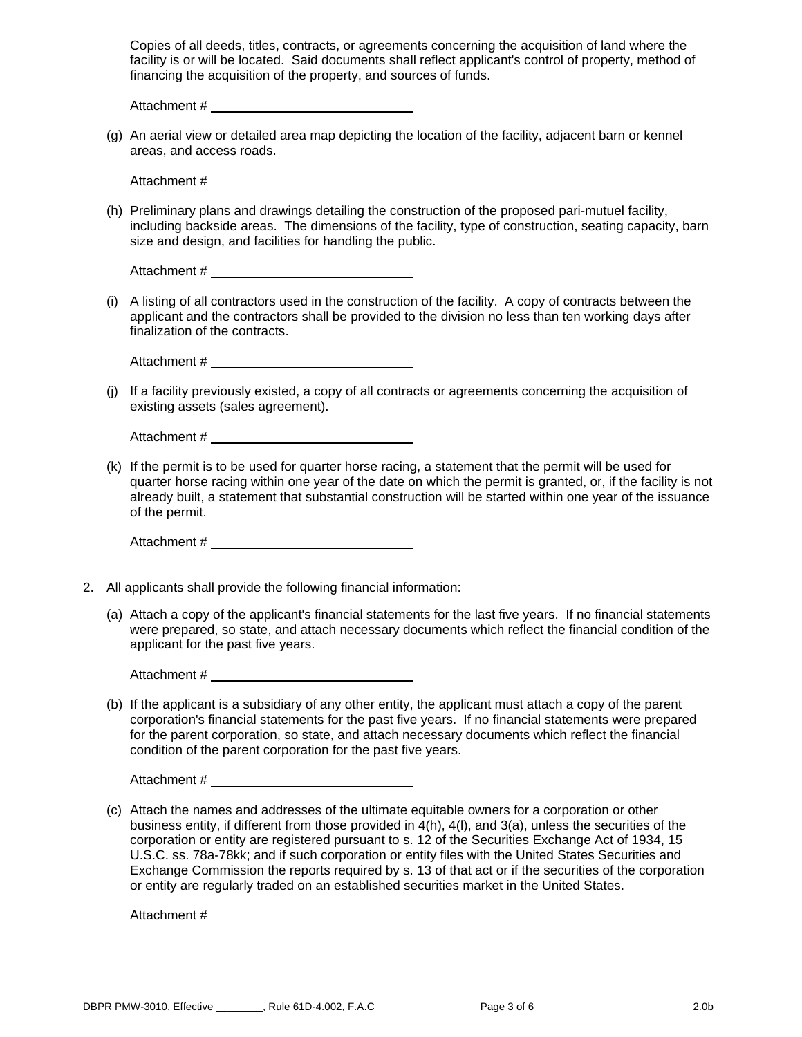Copies of all deeds, titles, contracts, or agreements concerning the acquisition of land where the facility is or will be located. Said documents shall reflect applicant's control of property, method of financing the acquisition of the property, and sources of funds.

Attachment #

(g) An aerial view or detailed area map depicting the location of the facility, adjacent barn or kennel areas, and access roads.

Attachment # \_\_\_\_\_\_

(h) Preliminary plans and drawings detailing the construction of the proposed pari-mutuel facility, including backside areas. The dimensions of the facility, type of construction, seating capacity, barn size and design, and facilities for handling the public.

Attachment #

(i) A listing of all contractors used in the construction of the facility. A copy of contracts between the applicant and the contractors shall be provided to the division no less than ten working days after finalization of the contracts.

Attachment #

(j) If a facility previously existed, a copy of all contracts or agreements concerning the acquisition of existing assets (sales agreement).

Attachment #

(k) If the permit is to be used for quarter horse racing, a statement that the permit will be used for quarter horse racing within one year of the date on which the permit is granted, or, if the facility is not already built, a statement that substantial construction will be started within one year of the issuance of the permit.

Attachment #  $\overline{a}$  and  $\overline{a}$  and  $\overline{a}$  and  $\overline{a}$  and  $\overline{a}$  and  $\overline{a}$  and  $\overline{a}$  and  $\overline{a}$  and  $\overline{a}$  and  $\overline{a}$  and  $\overline{a}$  and  $\overline{a}$  and  $\overline{a}$  and  $\overline{a}$  and  $\overline{a}$  and  $\overline{a}$  and

- 2. All applicants shall provide the following financial information:
	- (a) Attach a copy of the applicant's financial statements for the last five years. If no financial statements were prepared, so state, and attach necessary documents which reflect the financial condition of the applicant for the past five years.

Attachment #

(b) If the applicant is a subsidiary of any other entity, the applicant must attach a copy of the parent corporation's financial statements for the past five years. If no financial statements were prepared for the parent corporation, so state, and attach necessary documents which reflect the financial condition of the parent corporation for the past five years.

Attachment #

(c) Attach the names and addresses of the ultimate equitable owners for a corporation or other business entity, if different from those provided in 4(h), 4(l), and 3(a), unless the securities of the corporation or entity are registered pursuant to s. 12 of the Securities Exchange Act of 1934, 15 U.S.C. ss. 78a-78kk; and if such corporation or entity files with the United States Securities and Exchange Commission the reports required by s. 13 of that act or if the securities of the corporation or entity are regularly traded on an established securities market in the United States.

Attachment #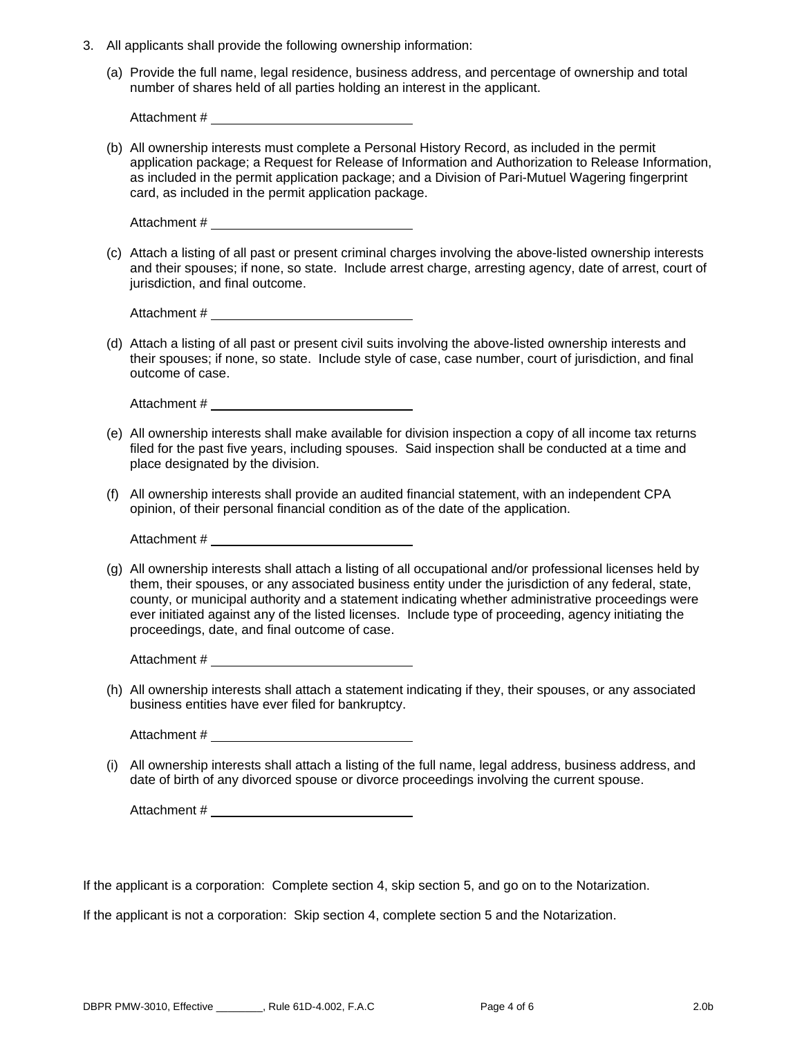- 3. All applicants shall provide the following ownership information:
	- (a) Provide the full name, legal residence, business address, and percentage of ownership and total number of shares held of all parties holding an interest in the applicant.

Attachment #

(b) All ownership interests must complete a Personal History Record, as included in the permit application package; a Request for Release of Information and Authorization to Release Information, as included in the permit application package; and a Division of Pari-Mutuel Wagering fingerprint card, as included in the permit application package.

(c) Attach a listing of all past or present criminal charges involving the above-listed ownership interests and their spouses; if none, so state. Include arrest charge, arresting agency, date of arrest, court of jurisdiction, and final outcome.

Attachment #

(d) Attach a listing of all past or present civil suits involving the above-listed ownership interests and their spouses; if none, so state. Include style of case, case number, court of jurisdiction, and final outcome of case.

Attachment #

- (e) All ownership interests shall make available for division inspection a copy of all income tax returns filed for the past five years, including spouses. Said inspection shall be conducted at a time and place designated by the division.
- (f) All ownership interests shall provide an audited financial statement, with an independent CPA opinion, of their personal financial condition as of the date of the application.

Attachment # \_

(g) All ownership interests shall attach a listing of all occupational and/or professional licenses held by them, their spouses, or any associated business entity under the jurisdiction of any federal, state, county, or municipal authority and a statement indicating whether administrative proceedings were ever initiated against any of the listed licenses. Include type of proceeding, agency initiating the proceedings, date, and final outcome of case.

Attachment #

(h) All ownership interests shall attach a statement indicating if they, their spouses, or any associated business entities have ever filed for bankruptcy.

Attachment #  $\overline{a}$  and  $\overline{a}$  and  $\overline{a}$  and  $\overline{a}$  and  $\overline{a}$  and  $\overline{a}$  and  $\overline{a}$  and  $\overline{a}$  and  $\overline{a}$  and  $\overline{a}$  and  $\overline{a}$  and  $\overline{a}$  and  $\overline{a}$  and  $\overline{a}$  and  $\overline{a}$  and  $\overline{a}$  and

(i) All ownership interests shall attach a listing of the full name, legal address, business address, and date of birth of any divorced spouse or divorce proceedings involving the current spouse.

Attachment #  $\overline{a}$  and  $\overline{a}$  and  $\overline{a}$  and  $\overline{a}$  and  $\overline{a}$  and  $\overline{a}$  and  $\overline{a}$  and  $\overline{a}$  and  $\overline{a}$  and  $\overline{a}$  and  $\overline{a}$  and  $\overline{a}$  and  $\overline{a}$  and  $\overline{a}$  and  $\overline{a}$  and  $\overline{a}$  and

If the applicant is a corporation: Complete section 4, skip section 5, and go on to the Notarization.

If the applicant is not a corporation: Skip section 4, complete section 5 and the Notarization.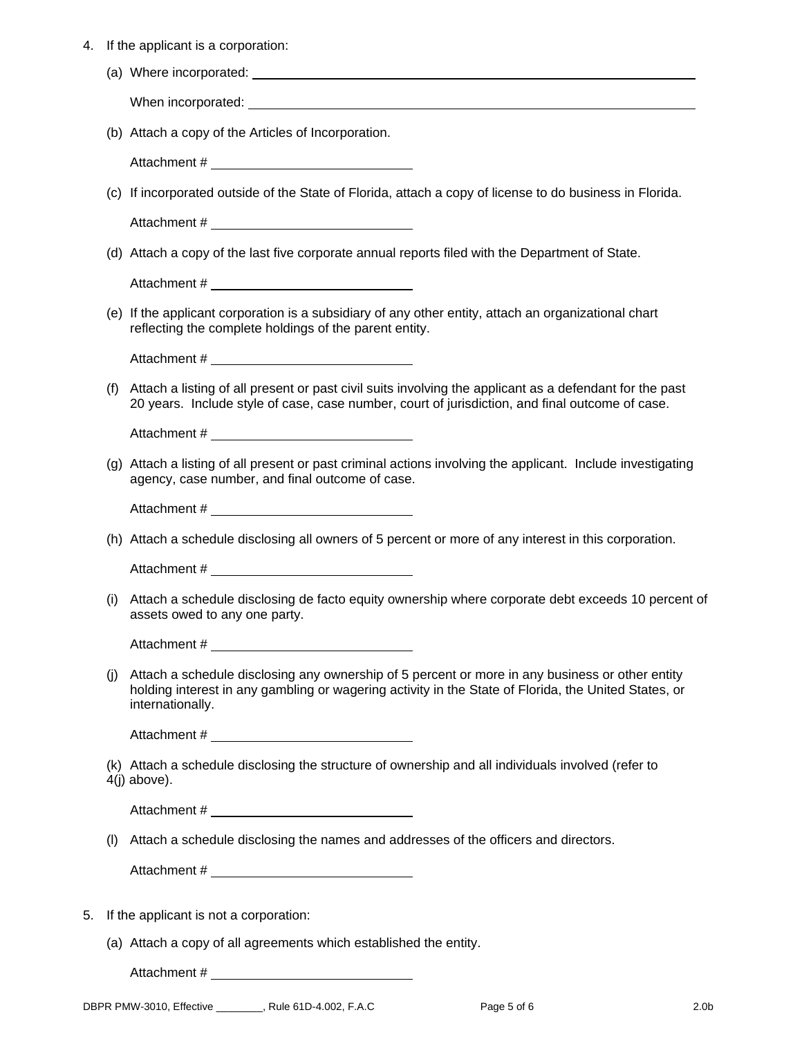| 4. |  |  |  | If the applicant is a corporation: |
|----|--|--|--|------------------------------------|
|----|--|--|--|------------------------------------|

|  | (a) Where incorporated: |
|--|-------------------------|
|  |                         |

When incorporated: When incorporated:

(b) Attach a copy of the Articles of Incorporation.

Attachment #

(c) If incorporated outside of the State of Florida, attach a copy of license to do business in Florida.

Attachment #  $\overline{a}$  and  $\overline{a}$  and  $\overline{a}$  and  $\overline{a}$  and  $\overline{a}$  and  $\overline{a}$  and  $\overline{a}$  and  $\overline{a}$  and  $\overline{a}$  and  $\overline{a}$  and  $\overline{a}$  and  $\overline{a}$  and  $\overline{a}$  and  $\overline{a}$  and  $\overline{a}$  and  $\overline{a}$  and

(d) Attach a copy of the last five corporate annual reports filed with the Department of State.

Attachment #

(e) If the applicant corporation is a subsidiary of any other entity, attach an organizational chart reflecting the complete holdings of the parent entity.

Attachment #  $\overline{a}$  and  $\overline{a}$  and  $\overline{a}$  and  $\overline{a}$  and  $\overline{a}$  and  $\overline{a}$  and  $\overline{a}$  and  $\overline{a}$  and  $\overline{a}$  and  $\overline{a}$  and  $\overline{a}$  and  $\overline{a}$  and  $\overline{a}$  and  $\overline{a}$  and  $\overline{a}$  and  $\overline{a}$  and

(f) Attach a listing of all present or past civil suits involving the applicant as a defendant for the past 20 years. Include style of case, case number, court of jurisdiction, and final outcome of case.

Attachment #

(g) Attach a listing of all present or past criminal actions involving the applicant. Include investigating agency, case number, and final outcome of case.

Attachment #

(h) Attach a schedule disclosing all owners of 5 percent or more of any interest in this corporation.

Attachment #

(i) Attach a schedule disclosing de facto equity ownership where corporate debt exceeds 10 percent of assets owed to any one party.

Attachment #

(j) Attach a schedule disclosing any ownership of 5 percent or more in any business or other entity holding interest in any gambling or wagering activity in the State of Florida, the United States, or internationally.

Attachment #  $\overline{a}$  and  $\overline{a}$  and  $\overline{a}$  and  $\overline{a}$  and  $\overline{a}$  and  $\overline{a}$  and  $\overline{a}$  and  $\overline{a}$  and  $\overline{a}$  and  $\overline{a}$  and  $\overline{a}$  and  $\overline{a}$  and  $\overline{a}$  and  $\overline{a}$  and  $\overline{a}$  and  $\overline{a}$  and

(k) Attach a schedule disclosing the structure of ownership and all individuals involved (refer to 4(j) above).

Attachment #  $\overline{a}$  and  $\overline{a}$  and  $\overline{a}$  and  $\overline{a}$  and  $\overline{a}$  and  $\overline{a}$  and  $\overline{a}$  and  $\overline{a}$  and  $\overline{a}$  and  $\overline{a}$  and  $\overline{a}$  and  $\overline{a}$  and  $\overline{a}$  and  $\overline{a}$  and  $\overline{a}$  and  $\overline{a}$  and

(l) Attach a schedule disclosing the names and addresses of the officers and directors.

Attachment #

- 5. If the applicant is not a corporation:
	- (a) Attach a copy of all agreements which established the entity.

Attachment #